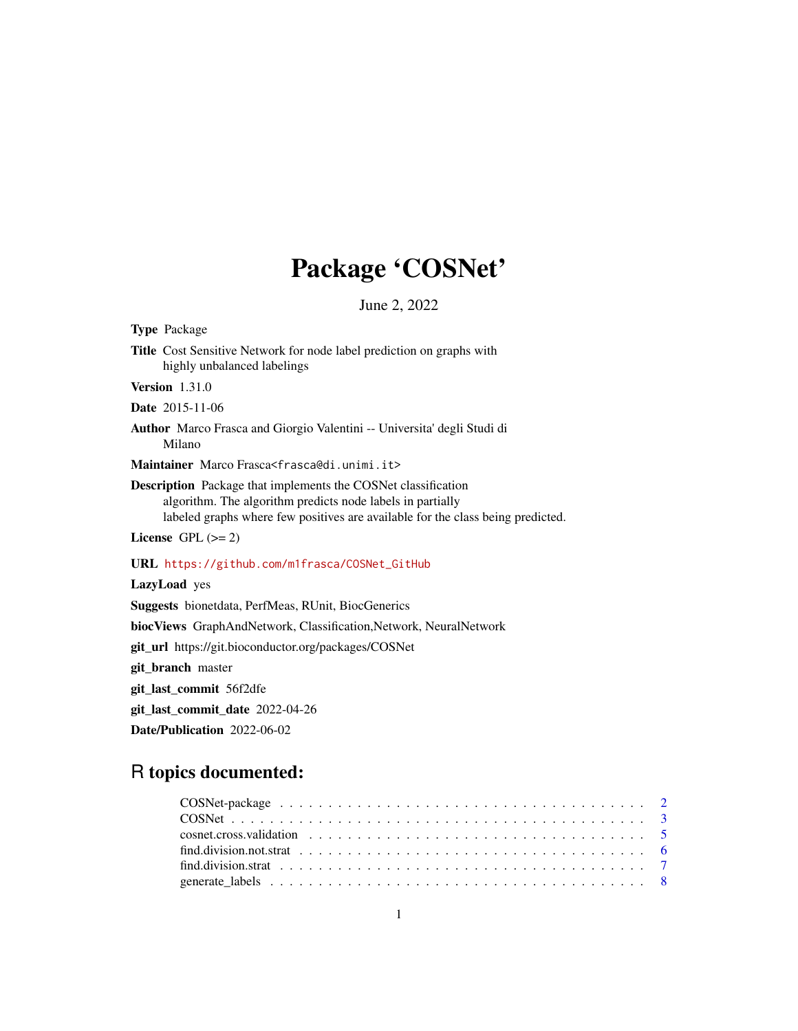## Package 'COSNet'

June 2, 2022

| <b>Type Package</b>                                                                                                                                                                                                   |
|-----------------------------------------------------------------------------------------------------------------------------------------------------------------------------------------------------------------------|
| <b>Title</b> Cost Sensitive Network for node label prediction on graphs with<br>highly unbalanced labelings                                                                                                           |
| <b>Version</b> $1.31.0$                                                                                                                                                                                               |
| <b>Date</b> 2015-11-06                                                                                                                                                                                                |
| <b>Author</b> Marco Frasca and Giorgio Valentini -- Universita' degli Studi di<br>Milano                                                                                                                              |
| Maintainer Marco Frasca <frasca@di.unimi.it></frasca@di.unimi.it>                                                                                                                                                     |
| <b>Description</b> Package that implements the COSNet classification<br>algorithm. The algorithm predicts node labels in partially<br>labeled graphs where few positives are available for the class being predicted. |
| License GPL $(>= 2)$                                                                                                                                                                                                  |
| URL https://github.com/m1frasca/COSNet_GitHub                                                                                                                                                                         |
| LazyLoad yes                                                                                                                                                                                                          |
| <b>Suggests</b> bionetdata, PerfMeas, RUnit, BiocGenerics                                                                                                                                                             |
| <b>biocViews</b> GraphAndNetwork, Classification, Network, NeuralNetwork                                                                                                                                              |
| git_url https://git.bioconductor.org/packages/COSNet                                                                                                                                                                  |
| git_branch master                                                                                                                                                                                                     |
| git_last_commit 56f2dfe                                                                                                                                                                                               |

git\_last\_commit\_date 2022-04-26

Date/Publication 2022-06-02

### R topics documented:

| find division strat $\ldots$ , $\ldots$ , $\ldots$ , $\ldots$ , $\ldots$ , $\ldots$ , $\ldots$ , $\ldots$ , $\ldots$ , $\ldots$ , $\ldots$ , $\ldots$ |  |
|-------------------------------------------------------------------------------------------------------------------------------------------------------|--|
|                                                                                                                                                       |  |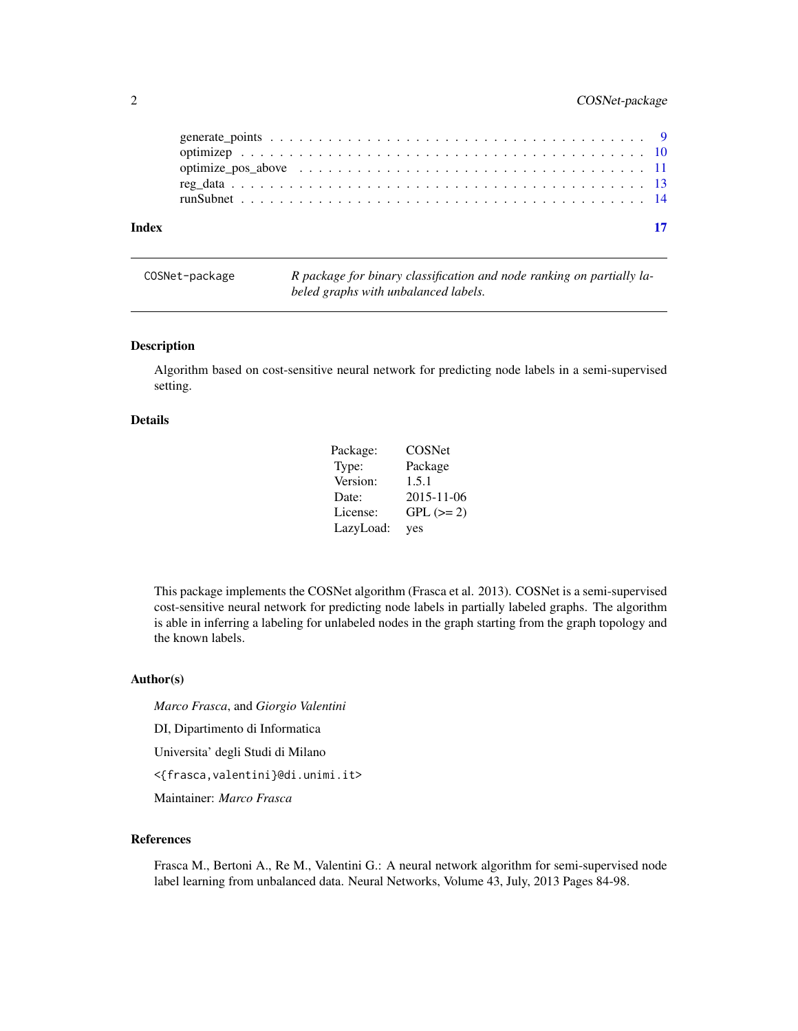#### <span id="page-1-0"></span>2 COSNet-package

COSNet-package *R package for binary classification and node ranking on partially labeled graphs with unbalanced labels.*

#### Description

Algorithm based on cost-sensitive neural network for predicting node labels in a semi-supervised setting.

#### Details

| Package:  | COSNet     |
|-----------|------------|
| Type:     | Package    |
| Version:  | 1.5.1      |
| Date:     | 2015-11-06 |
| License:  | $GPL (=2)$ |
| LazyLoad: | yes        |

This package implements the COSNet algorithm (Frasca et al. 2013). COSNet is a semi-supervised cost-sensitive neural network for predicting node labels in partially labeled graphs. The algorithm is able in inferring a labeling for unlabeled nodes in the graph starting from the graph topology and the known labels.

#### Author(s)

*Marco Frasca*, and *Giorgio Valentini*

DI, Dipartimento di Informatica

Universita' degli Studi di Milano

<{frasca,valentini}@di.unimi.it>

Maintainer: *Marco Frasca*

#### References

Frasca M., Bertoni A., Re M., Valentini G.: A neural network algorithm for semi-supervised node label learning from unbalanced data. Neural Networks, Volume 43, July, 2013 Pages 84-98.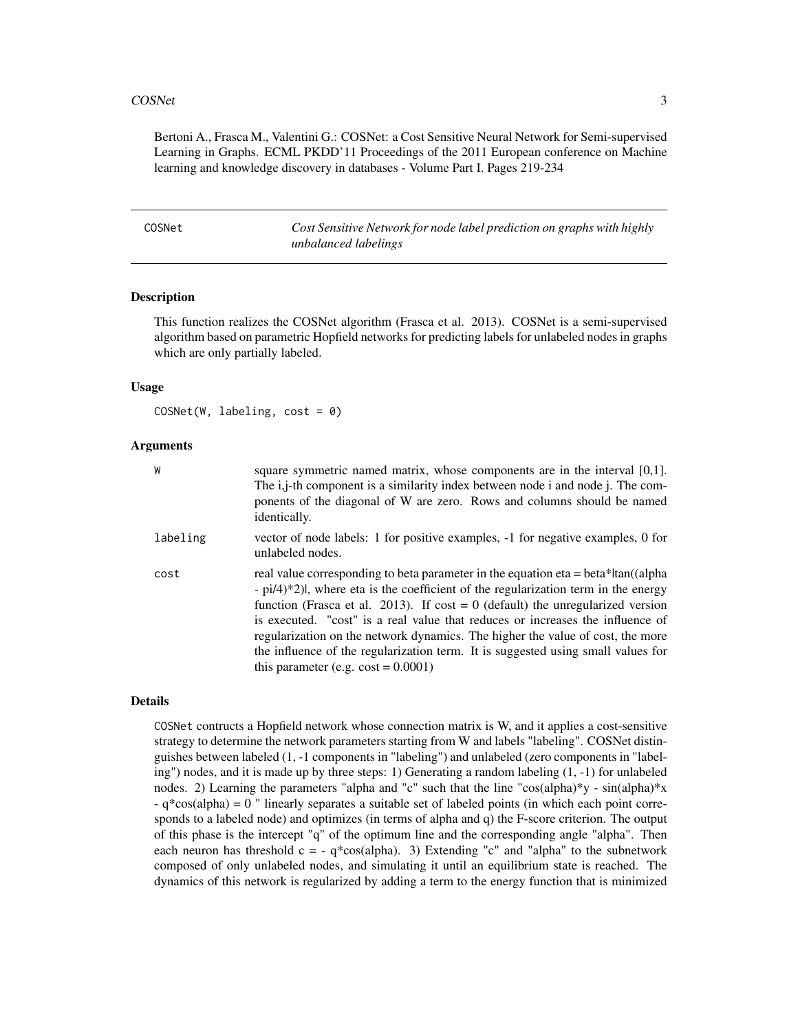#### <span id="page-2-0"></span> $\cos$ Net  $\frac{3}{2}$

Bertoni A., Frasca M., Valentini G.: COSNet: a Cost Sensitive Neural Network for Semi-supervised Learning in Graphs. ECML PKDD'11 Proceedings of the 2011 European conference on Machine learning and knowledge discovery in databases - Volume Part I. Pages 219-234

<span id="page-2-1"></span>COSNet *Cost Sensitive Network for node label prediction on graphs with highly unbalanced labelings*

#### Description

This function realizes the COSNet algorithm (Frasca et al. 2013). COSNet is a semi-supervised algorithm based on parametric Hopfield networks for predicting labels for unlabeled nodes in graphs which are only partially labeled.

#### Usage

 $COSNet(W, labeling, cost = 0)$ 

#### Arguments

| W        | square symmetric named matrix, whose components are in the interval $[0,1]$ .<br>The i,j-th component is a similarity index between node i and node j. The com-<br>ponents of the diagonal of W are zero. Rows and columns should be named<br><i>identically.</i>                                                                                                                                                                                                                                                                                                         |
|----------|---------------------------------------------------------------------------------------------------------------------------------------------------------------------------------------------------------------------------------------------------------------------------------------------------------------------------------------------------------------------------------------------------------------------------------------------------------------------------------------------------------------------------------------------------------------------------|
| labeling | vector of node labels: 1 for positive examples, -1 for negative examples, 0 for<br>unlabeled nodes.                                                                                                                                                                                                                                                                                                                                                                                                                                                                       |
| cost     | real value corresponding to beta parameter in the equation eta = beta* tan((alpha<br>$-pi/4$ <sup>*</sup> 2), where eta is the coefficient of the regularization term in the energy<br>function (Frasca et al. 2013). If cost = 0 (default) the unregularized version<br>is executed. "cost" is a real value that reduces or increases the influence of<br>regularization on the network dynamics. The higher the value of cost, the more<br>the influence of the regularization term. It is suggested using small values for<br>this parameter (e.g. $\cos t = 0.0001$ ) |

#### Details

COSNet contructs a Hopfield network whose connection matrix is W, and it applies a cost-sensitive strategy to determine the network parameters starting from W and labels "labeling". COSNet distinguishes between labeled (1, -1 components in "labeling") and unlabeled (zero components in "labeling") nodes, and it is made up by three steps: 1) Generating a random labeling (1, -1) for unlabeled nodes. 2) Learning the parameters "alpha and "c" such that the line "cos(alpha)\*y - sin(alpha)\*x - q\*cos(alpha) = 0 " linearly separates a suitable set of labeled points (in which each point corresponds to a labeled node) and optimizes (in terms of alpha and q) the F-score criterion. The output of this phase is the intercept "q" of the optimum line and the corresponding angle "alpha". Then each neuron has threshold  $c = -q^*cos(alpha)$ . 3) Extending "c" and "alpha" to the subnetwork composed of only unlabeled nodes, and simulating it until an equilibrium state is reached. The dynamics of this network is regularized by adding a term to the energy function that is minimized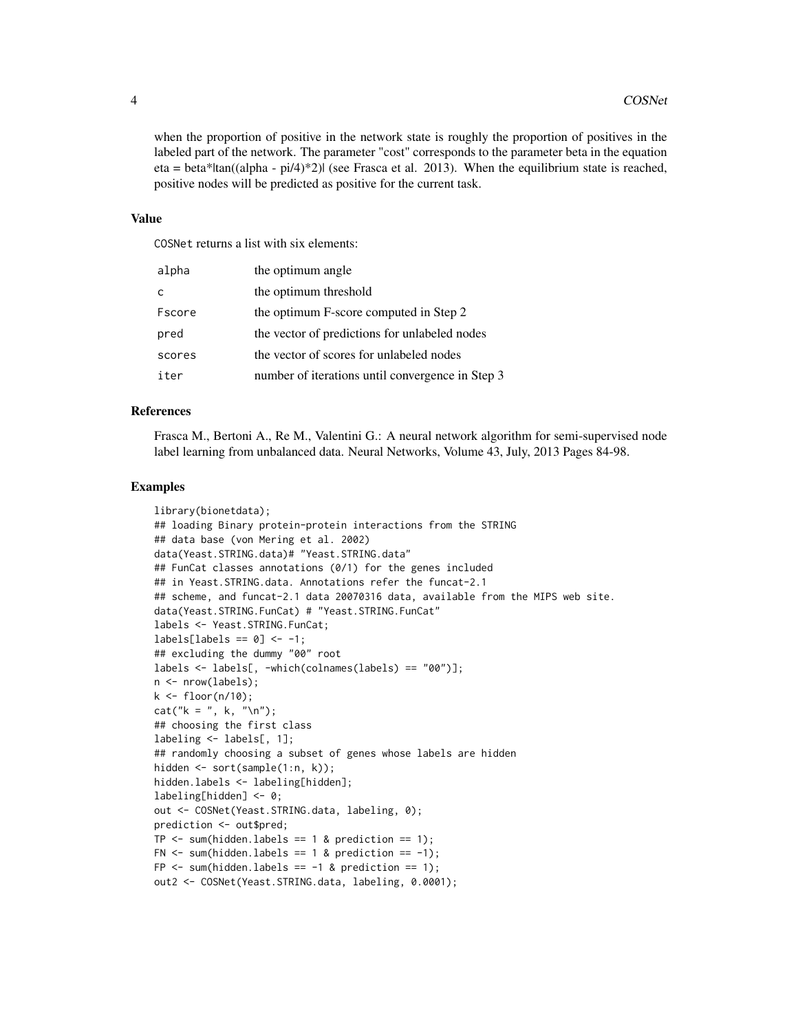when the proportion of positive in the network state is roughly the proportion of positives in the labeled part of the network. The parameter "cost" corresponds to the parameter beta in the equation eta = beta\*|tan((alpha - pi/4)\*2)| (see Frasca et al. 2013). When the equilibrium state is reached, positive nodes will be predicted as positive for the current task.

#### Value

COSNet returns a list with six elements:

| alpha  | the optimum angle                                |
|--------|--------------------------------------------------|
| C      | the optimum threshold                            |
| Fscore | the optimum F-score computed in Step 2           |
| pred   | the vector of predictions for unlabeled nodes    |
| scores | the vector of scores for unlabeled nodes         |
| iter   | number of iterations until convergence in Step 3 |

#### References

Frasca M., Bertoni A., Re M., Valentini G.: A neural network algorithm for semi-supervised node label learning from unbalanced data. Neural Networks, Volume 43, July, 2013 Pages 84-98.

#### Examples

```
library(bionetdata);
## loading Binary protein-protein interactions from the STRING
## data base (von Mering et al. 2002)
data(Yeast.STRING.data)# "Yeast.STRING.data"
## FunCat classes annotations (0/1) for the genes included
## in Yeast.STRING.data. Annotations refer the funcat-2.1
## scheme, and funcat-2.1 data 20070316 data, available from the MIPS web site.
data(Yeast.STRING.FunCat) # "Yeast.STRING.FunCat"
labels <- Yeast.STRING.FunCat;
labels[labels == 0] <- -1;
## excluding the dummy "00" root
labels <- labels[, -which(colnames(labels) == "00")];
n <- nrow(labels);
k \leq -\text{floor}(n/10);
cat("k = ", k, "\\n");## choosing the first class
labeling <- labels[, 1];
## randomly choosing a subset of genes whose labels are hidden
hidden <- sort(sample(1:n, k));
hidden.labels <- labeling[hidden];
labeling[hidden] <- 0;
out <- COSNet(Yeast.STRING.data, labeling, 0);
prediction <- out$pred;
TP \leq sum(hidden.labels == 1 & prediction == 1);
FN \le sum(hidden.labels == 1 & prediction == -1);
FP \leq sum(hidden.labels == -1 & prediction == 1);
out2 <- COSNet(Yeast.STRING.data, labeling, 0.0001);
```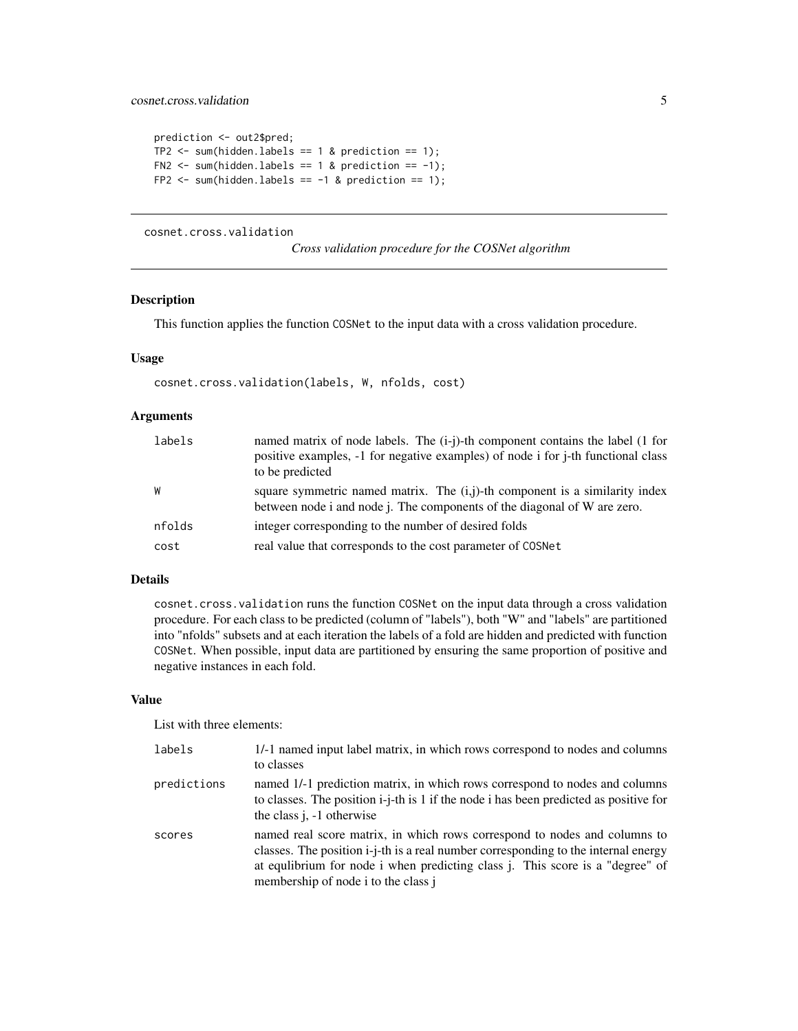```
prediction <- out2$pred;
TP2 \le sum(hidden.labels == 1 & prediction == 1);
FN2 \le sum(hidden.labels == 1 & prediction == -1);
FP2 \leq sum(hidden.labels == -1 & prediction == 1);
```
cosnet.cross.validation

*Cross validation procedure for the COSNet algorithm*

#### Description

This function applies the function COSNet to the input data with a cross validation procedure.

#### Usage

```
cosnet.cross.validation(labels, W, nfolds, cost)
```
#### Arguments

| labels | named matrix of node labels. The (i-j)-th component contains the label (1 for<br>positive examples, -1 for negative examples) of node i for j-th functional class |
|--------|-------------------------------------------------------------------------------------------------------------------------------------------------------------------|
|        | to be predicted                                                                                                                                                   |
| W      | square symmetric named matrix. The $(i,j)$ -th component is a similarity index<br>between node i and node j. The components of the diagonal of W are zero.        |
| nfolds | integer corresponding to the number of desired folds                                                                                                              |
| cost   | real value that corresponds to the cost parameter of COSNet                                                                                                       |

#### Details

cosnet.cross.validation runs the function COSNet on the input data through a cross validation procedure. For each class to be predicted (column of "labels"), both "W" and "labels" are partitioned into "nfolds" subsets and at each iteration the labels of a fold are hidden and predicted with function COSNet. When possible, input data are partitioned by ensuring the same proportion of positive and negative instances in each fold.

#### Value

List with three elements:

| labels      | 1/-1 named input label matrix, in which rows correspond to nodes and columns<br>to classes                                                                                                                                                                                                       |
|-------------|--------------------------------------------------------------------------------------------------------------------------------------------------------------------------------------------------------------------------------------------------------------------------------------------------|
| predictions | named 1/-1 prediction matrix, in which rows correspond to nodes and columns<br>to classes. The position i-j-th is 1 if the node i has been predicted as positive for<br>the class $j, -1$ otherwise                                                                                              |
| scores      | named real score matrix, in which rows correspond to nodes and columns to<br>classes. The position i-j-th is a real number corresponding to the internal energy<br>at equilibrium for node i when predicting class <i>j</i> . This score is a "degree" of<br>membership of node i to the class j |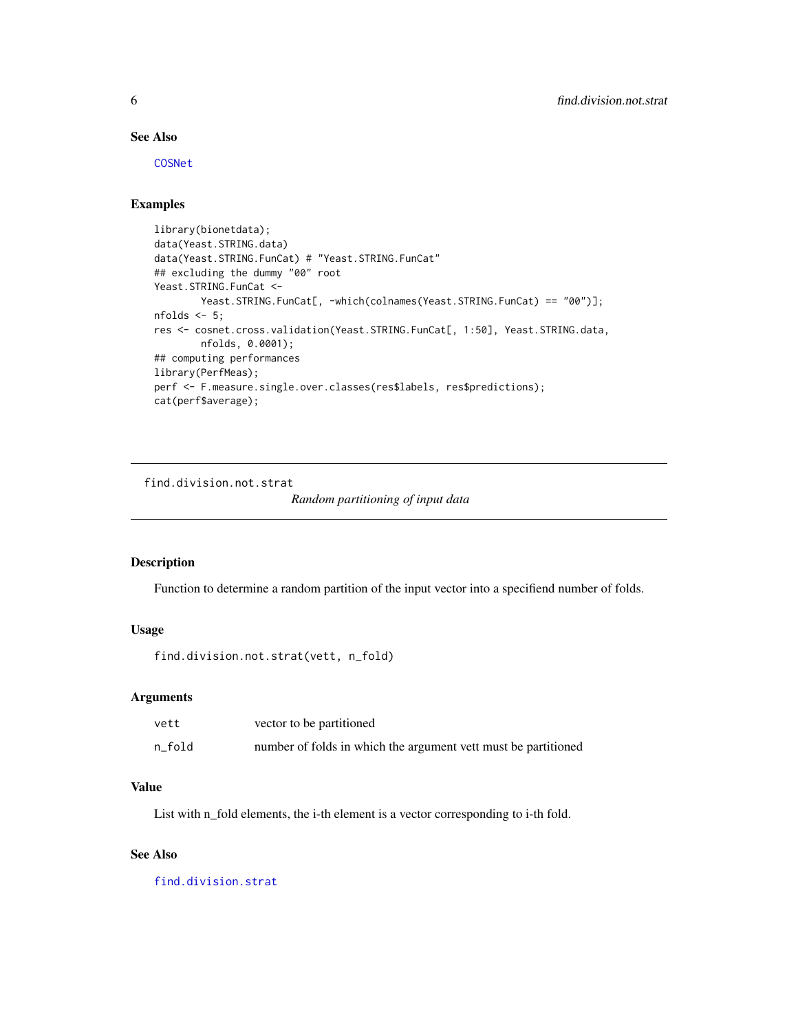#### See Also

[COSNet](#page-2-1)

#### Examples

```
library(bionetdata);
data(Yeast.STRING.data)
data(Yeast.STRING.FunCat) # "Yeast.STRING.FunCat"
## excluding the dummy "00" root
Yeast.STRING.FunCat <-
       Yeast.STRING.FunCat[, -which(colnames(Yeast.STRING.FunCat) == "00")];
nfolds <- 5;
res <- cosnet.cross.validation(Yeast.STRING.FunCat[, 1:50], Yeast.STRING.data,
       nfolds, 0.0001);
## computing performances
library(PerfMeas);
perf <- F.measure.single.over.classes(res$labels, res$predictions);
cat(perf$average);
```
<span id="page-5-1"></span>find.division.not.strat

#### *Random partitioning of input data*

#### Description

Function to determine a random partition of the input vector into a specifiend number of folds.

#### Usage

```
find.division.not.strat(vett, n_fold)
```
#### Arguments

| vett   | vector to be partitioned                                       |
|--------|----------------------------------------------------------------|
| n fold | number of folds in which the argument vett must be partitioned |

#### Value

List with n\_fold elements, the i-th element is a vector corresponding to i-th fold.

#### See Also

[find.division.strat](#page-6-1)

<span id="page-5-0"></span>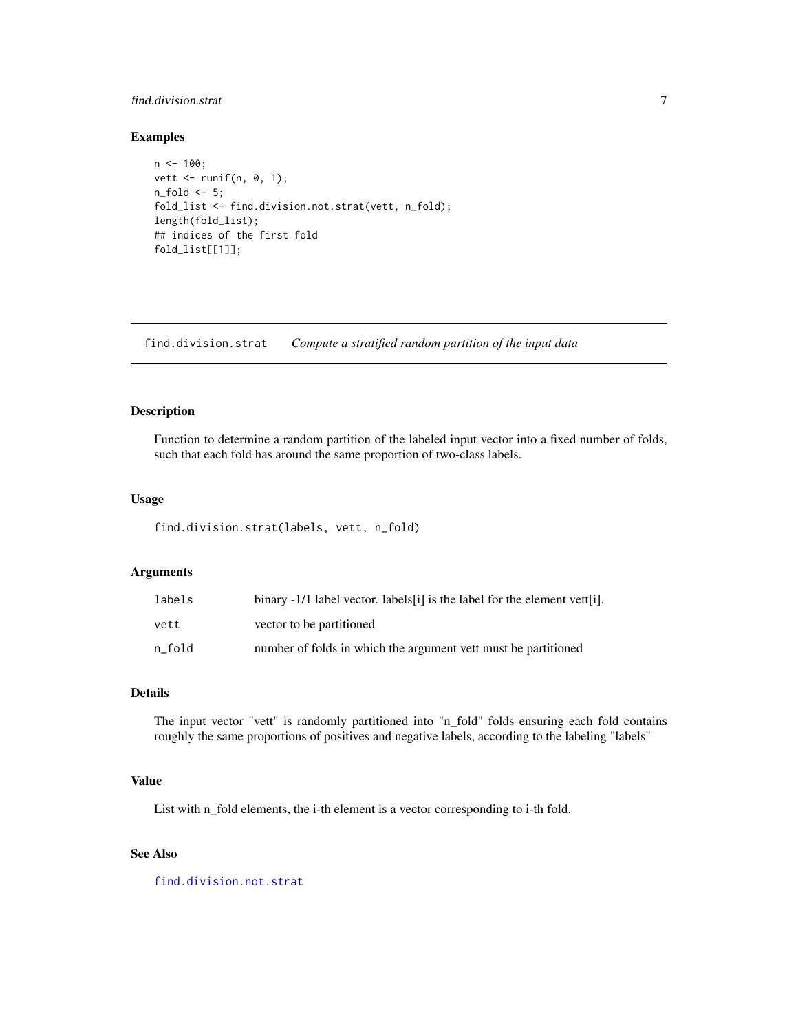#### <span id="page-6-0"></span>find.division.strat 7

#### Examples

```
n <- 100;
vett <- runif(n, 0, 1);
n_fold <- 5;
fold_list <- find.division.not.strat(vett, n_fold);
length(fold_list);
## indices of the first fold
fold_list[[1]];
```
<span id="page-6-1"></span>find.division.strat *Compute a stratified random partition of the input data*

#### Description

Function to determine a random partition of the labeled input vector into a fixed number of folds, such that each fold has around the same proportion of two-class labels.

#### Usage

find.division.strat(labels, vett, n\_fold)

#### Arguments

| labels | binary -1/1 label vector. labels [i] is the label for the element vett [i]. |
|--------|-----------------------------------------------------------------------------|
| vett   | vector to be partitioned                                                    |
| n fold | number of folds in which the argument vett must be partitioned              |

#### Details

The input vector "vett" is randomly partitioned into "n\_fold" folds ensuring each fold contains roughly the same proportions of positives and negative labels, according to the labeling "labels"

#### Value

List with n\_fold elements, the i-th element is a vector corresponding to i-th fold.

#### See Also

[find.division.not.strat](#page-5-1)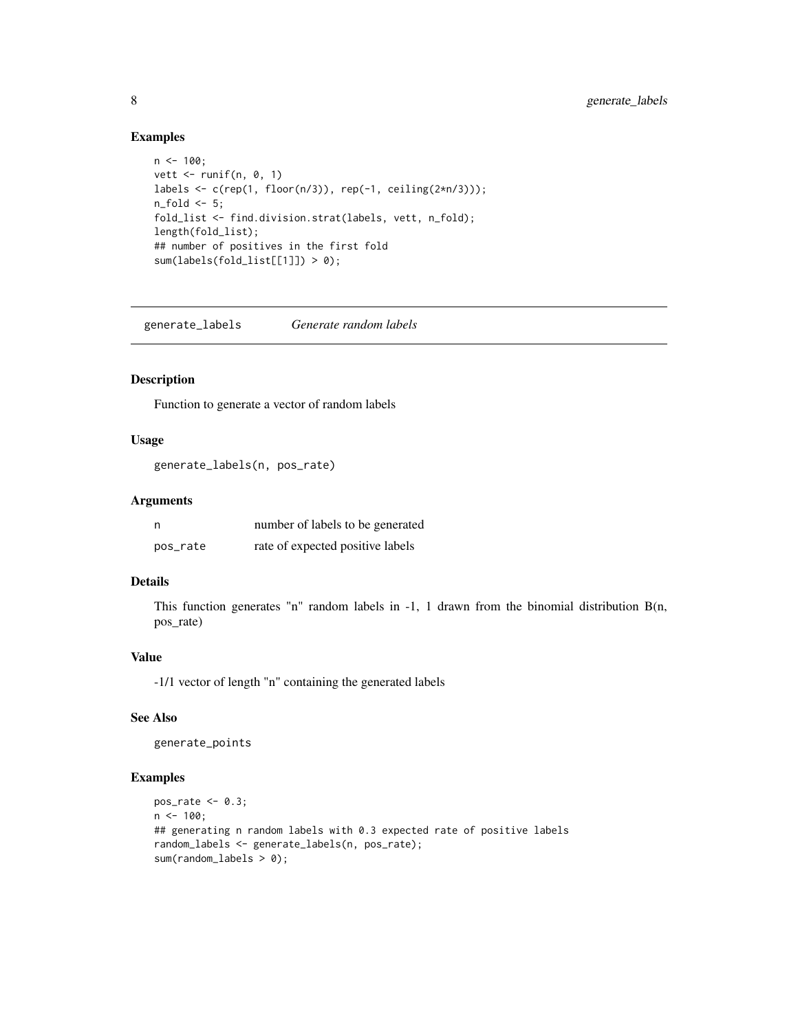#### Examples

```
n < -100;
vett \le runif(n, 0, 1)
labels <- c(rep(1, floor(n/3)), rep(-1, ceiling(2*n/3)));
n_fold \leq 5;
fold_list <- find.division.strat(labels, vett, n_fold);
length(fold_list);
## number of positives in the first fold
sum(labels(fold_list[[1]]) > 0);
```
generate\_labels *Generate random labels*

#### Description

Function to generate a vector of random labels

#### Usage

```
generate_labels(n, pos_rate)
```
#### Arguments

| n        | number of labels to be generated |
|----------|----------------------------------|
| pos_rate | rate of expected positive labels |

#### Details

This function generates "n" random labels in -1, 1 drawn from the binomial distribution B(n, pos\_rate)

#### Value

-1/1 vector of length "n" containing the generated labels

#### See Also

generate\_points

#### Examples

```
pos_rate <- 0.3;
n < -100;
## generating n random labels with 0.3 expected rate of positive labels
random_labels <- generate_labels(n, pos_rate);
sum(random_labels > 0);
```
<span id="page-7-0"></span>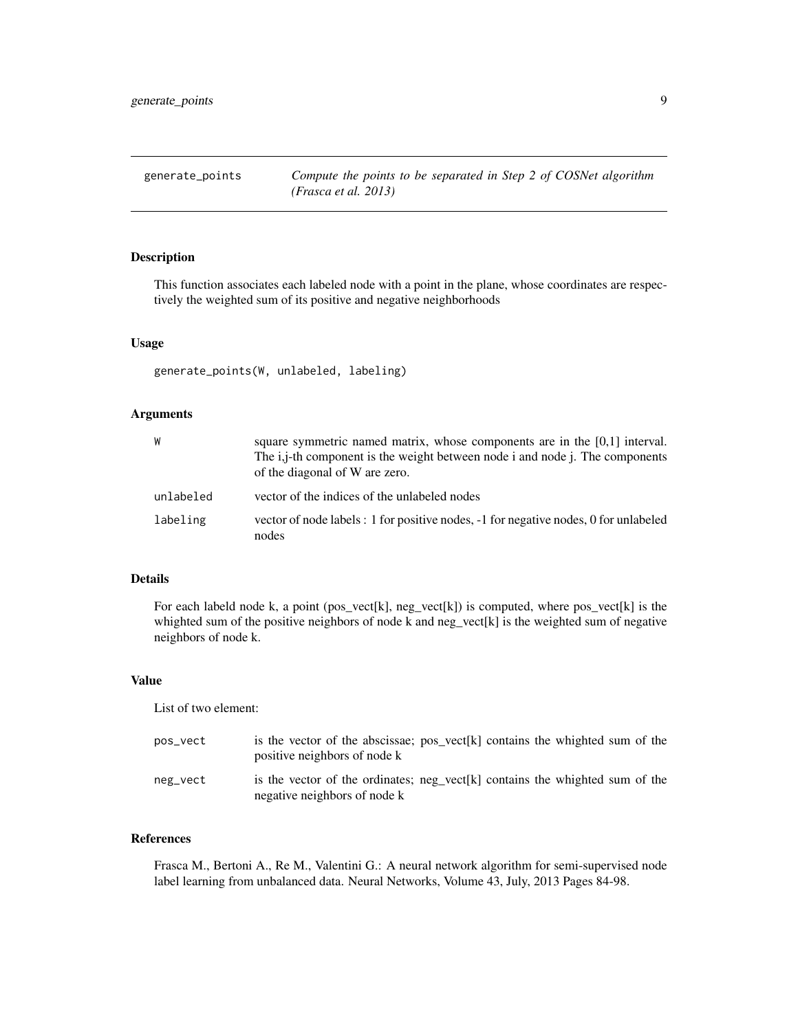<span id="page-8-0"></span>generate\_points *Compute the points to be separated in Step 2 of COSNet algorithm (Frasca et al. 2013)*

#### Description

This function associates each labeled node with a point in the plane, whose coordinates are respectively the weighted sum of its positive and negative neighborhoods

#### Usage

generate\_points(W, unlabeled, labeling)

#### Arguments

| W         | square symmetric named matrix, whose components are in the $[0,1]$ interval.<br>The i,j-th component is the weight between node i and node j. The components<br>of the diagonal of W are zero. |
|-----------|------------------------------------------------------------------------------------------------------------------------------------------------------------------------------------------------|
| unlabeled | vector of the indices of the unlabeled nodes                                                                                                                                                   |
| labeling  | vector of node labels : 1 for positive nodes, -1 for negative nodes, 0 for unlabeled<br>nodes                                                                                                  |

#### Details

For each labeld node k, a point (pos\_vect[k],  $neg\_vect[k]$ ) is computed, where  $pos\_vect[k]$  is the whighted sum of the positive neighbors of node k and neg\_vect[k] is the weighted sum of negative neighbors of node k.

#### Value

List of two element:

| pos_vect | is the vector of the abscissae; $pos\_vect[k]$ contains the whighted sum of the<br>positive neighbors of node k |  |  |  |  |
|----------|-----------------------------------------------------------------------------------------------------------------|--|--|--|--|
| neg_vect | is the vector of the ordinates; neg vect[k] contains the whighted sum of the<br>negative neighbors of node k    |  |  |  |  |

#### References

Frasca M., Bertoni A., Re M., Valentini G.: A neural network algorithm for semi-supervised node label learning from unbalanced data. Neural Networks, Volume 43, July, 2013 Pages 84-98.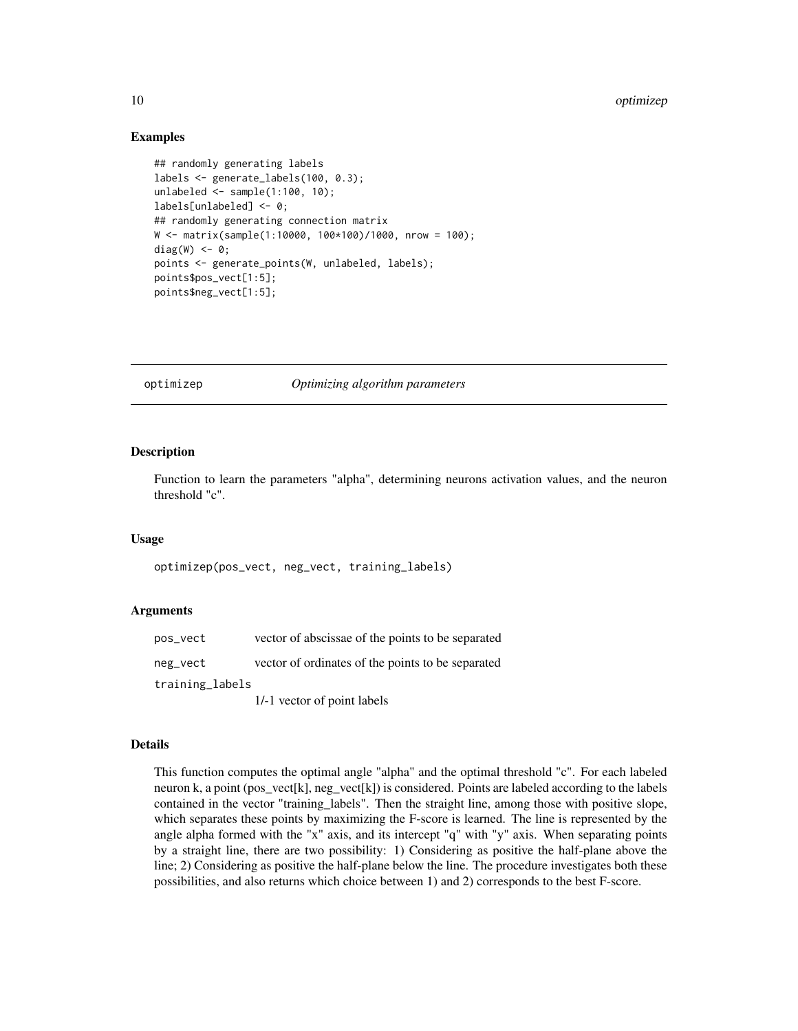#### Examples

```
## randomly generating labels
labels <- generate_labels(100, 0.3);
unlabeled \le sample(1:100, 10);
labels[unlabeled] <- 0;
## randomly generating connection matrix
W <- matrix(sample(1:10000, 100*100)/1000, nrow = 100);
diag(W) <- 0;
points <- generate_points(W, unlabeled, labels);
points$pos_vect[1:5];
points$neg_vect[1:5];
```
<span id="page-9-1"></span>optimizep *Optimizing algorithm parameters*

#### **Description**

Function to learn the parameters "alpha", determining neurons activation values, and the neuron threshold "c".

#### Usage

optimizep(pos\_vect, neg\_vect, training\_labels)

#### Arguments

| pos_vect        | vector of abscissae of the points to be separated |
|-----------------|---------------------------------------------------|
| neg_vect        | vector of ordinates of the points to be separated |
| training_labels |                                                   |
|                 | 1/-1 vector of point labels                       |

#### Details

This function computes the optimal angle "alpha" and the optimal threshold "c". For each labeled neuron k, a point (pos\_vect[k], neg\_vect[k]) is considered. Points are labeled according to the labels contained in the vector "training\_labels". Then the straight line, among those with positive slope, which separates these points by maximizing the F-score is learned. The line is represented by the angle alpha formed with the "x" axis, and its intercept "q" with "y" axis. When separating points by a straight line, there are two possibility: 1) Considering as positive the half-plane above the line; 2) Considering as positive the half-plane below the line. The procedure investigates both these possibilities, and also returns which choice between 1) and 2) corresponds to the best F-score.

<span id="page-9-0"></span>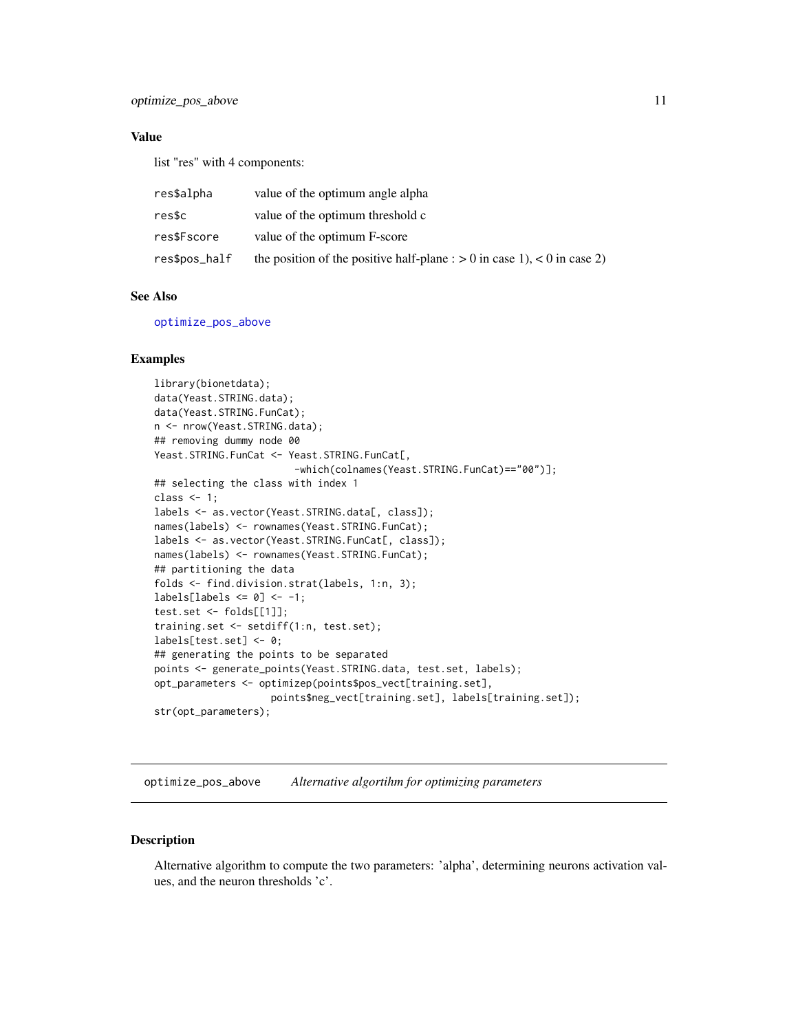#### <span id="page-10-0"></span>optimize\_pos\_above 11

#### Value

list "res" with 4 components:

| res\$alpha    | value of the optimum angle alpha                                           |
|---------------|----------------------------------------------------------------------------|
| res\$c        | value of the optimum threshold c                                           |
| res\$Fscore   | value of the optimum F-score                                               |
| res\$pos_half | the position of the positive half-plane : $> 0$ in case 1), < 0 in case 2) |

#### See Also

[optimize\\_pos\\_above](#page-10-1)

#### Examples

```
library(bionetdata);
data(Yeast.STRING.data);
data(Yeast.STRING.FunCat);
n <- nrow(Yeast.STRING.data);
## removing dummy node 00
Yeast.STRING.FunCat <- Yeast.STRING.FunCat[,
                        -which(colnames(Yeast.STRING.FunCat)=="00")];
## selecting the class with index 1
class <-1;labels <- as.vector(Yeast.STRING.data[, class]);
names(labels) <- rownames(Yeast.STRING.FunCat);
labels <- as.vector(Yeast.STRING.FunCat[, class]);
names(labels) <- rownames(Yeast.STRING.FunCat);
## partitioning the data
folds <- find.division.strat(labels, 1:n, 3);
labels[labels \le 0] \le -1;test.set <- folds[[1]];
training.set <- setdiff(1:n, test.set);
labels[test.set] <- 0;
## generating the points to be separated
points <- generate_points(Yeast.STRING.data, test.set, labels);
opt_parameters <- optimizep(points$pos_vect[training.set],
                    points$neg_vect[training.set], labels[training.set]);
str(opt_parameters);
```
<span id="page-10-1"></span>optimize\_pos\_above *Alternative algortihm for optimizing parameters*

#### Description

Alternative algorithm to compute the two parameters: 'alpha', determining neurons activation values, and the neuron thresholds 'c'.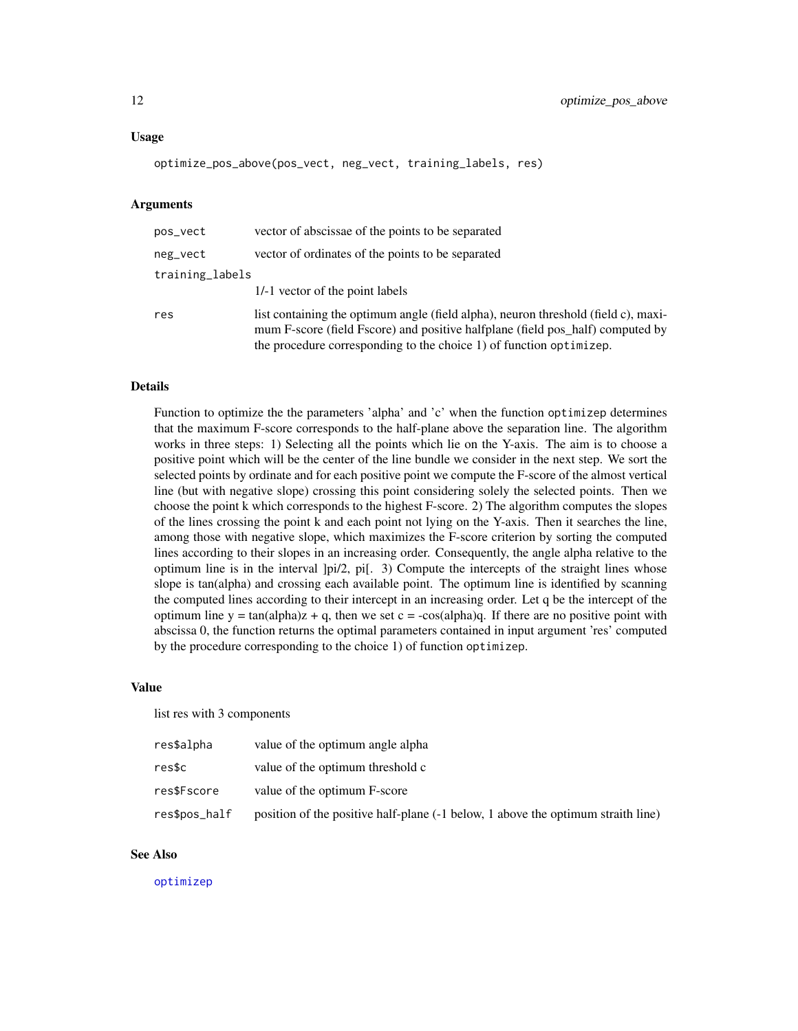#### <span id="page-11-0"></span>Usage

```
optimize_pos_above(pos_vect, neg_vect, training_labels, res)
```
#### Arguments

| pos_vect        | vector of abscissae of the points to be separated                                                                                                                                                                                           |
|-----------------|---------------------------------------------------------------------------------------------------------------------------------------------------------------------------------------------------------------------------------------------|
| neg_vect        | vector of ordinates of the points to be separated                                                                                                                                                                                           |
| training_labels |                                                                                                                                                                                                                                             |
|                 | 1/-1 vector of the point labels                                                                                                                                                                                                             |
| res             | list containing the optimum angle (field alpha), neuron threshold (field c), maxi-<br>mum F-score (field Fscore) and positive halfplane (field pos_half) computed by<br>the procedure corresponding to the choice 1) of function optimizep. |

#### Details

Function to optimize the the parameters 'alpha' and 'c' when the function optimizep determines that the maximum F-score corresponds to the half-plane above the separation line. The algorithm works in three steps: 1) Selecting all the points which lie on the Y-axis. The aim is to choose a positive point which will be the center of the line bundle we consider in the next step. We sort the selected points by ordinate and for each positive point we compute the F-score of the almost vertical line (but with negative slope) crossing this point considering solely the selected points. Then we choose the point k which corresponds to the highest F-score. 2) The algorithm computes the slopes of the lines crossing the point k and each point not lying on the Y-axis. Then it searches the line, among those with negative slope, which maximizes the F-score criterion by sorting the computed lines according to their slopes in an increasing order. Consequently, the angle alpha relative to the optimum line is in the interval ]pi/2, pi[. 3) Compute the intercepts of the straight lines whose slope is tan(alpha) and crossing each available point. The optimum line is identified by scanning the computed lines according to their intercept in an increasing order. Let q be the intercept of the optimum line  $y = tan(alpha)ph$  + q, then we set c = -cos(alpha)q. If there are no positive point with abscissa 0, the function returns the optimal parameters contained in input argument 'res' computed by the procedure corresponding to the choice 1) of function optimizep.

#### Value

list res with 3 components

| res\$alpha    | value of the optimum angle alpha                                                 |
|---------------|----------------------------------------------------------------------------------|
| res\$c        | value of the optimum threshold c                                                 |
| res\$Fscore   | value of the optimum F-score                                                     |
| res\$pos_half | position of the positive half-plane (-1 below, 1 above the optimum straith line) |

#### See Also

[optimizep](#page-9-1)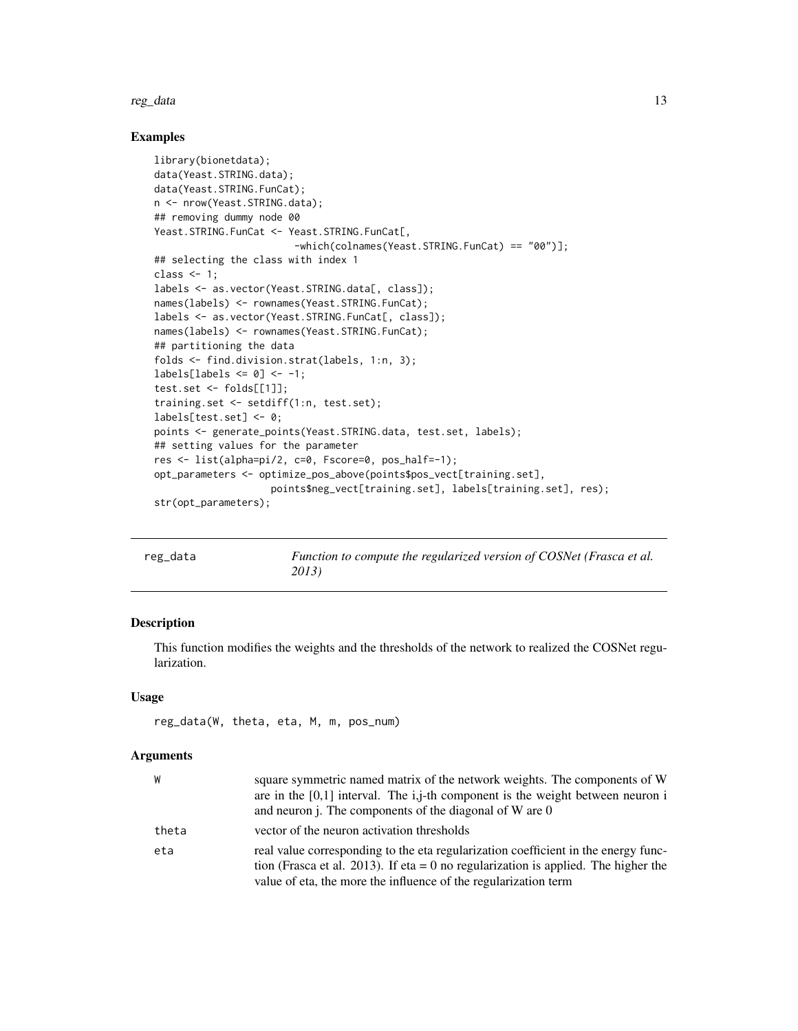<span id="page-12-0"></span>reg\_data and 13

#### Examples

```
library(bionetdata);
data(Yeast.STRING.data);
data(Yeast.STRING.FunCat);
n <- nrow(Yeast.STRING.data);
## removing dummy node 00
Yeast.STRING.FunCat <- Yeast.STRING.FunCat[,
                        -which(colnames(Yeast.STRING.FunCat) == "00")];
## selecting the class with index 1
class <-1;
labels <- as.vector(Yeast.STRING.data[, class]);
names(labels) <- rownames(Yeast.STRING.FunCat);
labels <- as.vector(Yeast.STRING.FunCat[, class]);
names(labels) <- rownames(Yeast.STRING.FunCat);
## partitioning the data
folds <- find.division.strat(labels, 1:n, 3);
labels[labels \le 0] \le -1;test.set <- folds[[1]];
training.set <- setdiff(1:n, test.set);
labels[test.set] <- 0;
points <- generate_points(Yeast.STRING.data, test.set, labels);
## setting values for the parameter
res <- list(alpha=pi/2, c=0, Fscore=0, pos_half=-1);
opt_parameters <- optimize_pos_above(points$pos_vect[training.set],
                    points$neg_vect[training.set], labels[training.set], res);
str(opt_parameters);
```

| reg_data | Function to compute the regularized version of COSNet (Frasca et al. |
|----------|----------------------------------------------------------------------|
|          | 2013)                                                                |

### Description

This function modifies the weights and the thresholds of the network to realized the COSNet regularization.

#### Usage

```
reg_data(W, theta, eta, M, m, pos_num)
```
#### Arguments

| W     | square symmetric named matrix of the network weights. The components of W                                                                                                                                                                   |
|-------|---------------------------------------------------------------------------------------------------------------------------------------------------------------------------------------------------------------------------------------------|
|       | are in the $[0,1]$ interval. The i,j-th component is the weight between neuron i<br>and neuron j. The components of the diagonal of W are 0                                                                                                 |
| theta | vector of the neuron activation thresholds                                                                                                                                                                                                  |
| eta   | real value corresponding to the eta regularization coefficient in the energy func-<br>tion (Frasca et al. 2013). If eta = 0 no regularization is applied. The higher the<br>value of eta, the more the influence of the regularization term |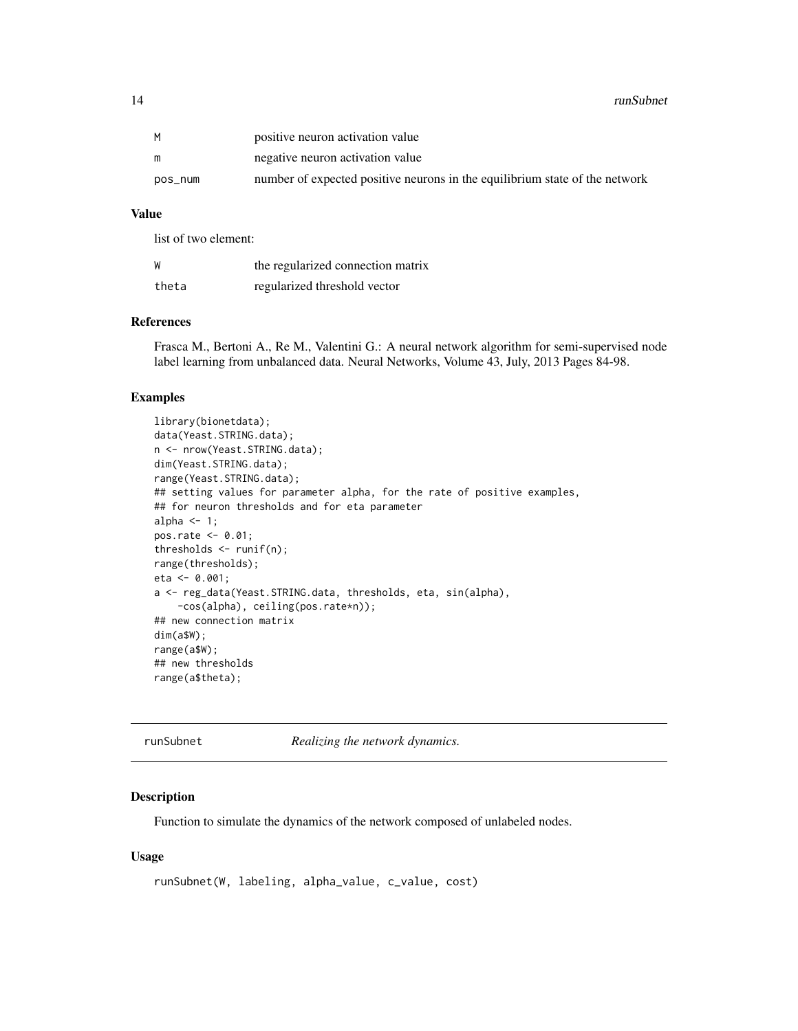<span id="page-13-0"></span>

|         | positive neuron activation value                                            |
|---------|-----------------------------------------------------------------------------|
|         | negative neuron activation value                                            |
| pos num | number of expected positive neurons in the equilibrium state of the network |

#### Value

list of two element:

| W     | the regularized connection matrix |
|-------|-----------------------------------|
| theta | regularized threshold vector      |

#### References

Frasca M., Bertoni A., Re M., Valentini G.: A neural network algorithm for semi-supervised node label learning from unbalanced data. Neural Networks, Volume 43, July, 2013 Pages 84-98.

#### Examples

```
library(bionetdata);
data(Yeast.STRING.data);
n <- nrow(Yeast.STRING.data);
dim(Yeast.STRING.data);
range(Yeast.STRING.data);
## setting values for parameter alpha, for the rate of positive examples,
## for neuron thresholds and for eta parameter
alpha <-1;pos.rate <- 0.01;
thresholds <- runif(n);
range(thresholds);
eta <- 0.001;
a <- reg_data(Yeast.STRING.data, thresholds, eta, sin(alpha),
    -cos(alpha), ceiling(pos.rate*n));
## new connection matrix
dim(a$W);
range(a$W);
## new thresholds
range(a$theta);
```
runSubnet *Realizing the network dynamics.*

#### Description

Function to simulate the dynamics of the network composed of unlabeled nodes.

#### Usage

```
runSubnet(W, labeling, alpha_value, c_value, cost)
```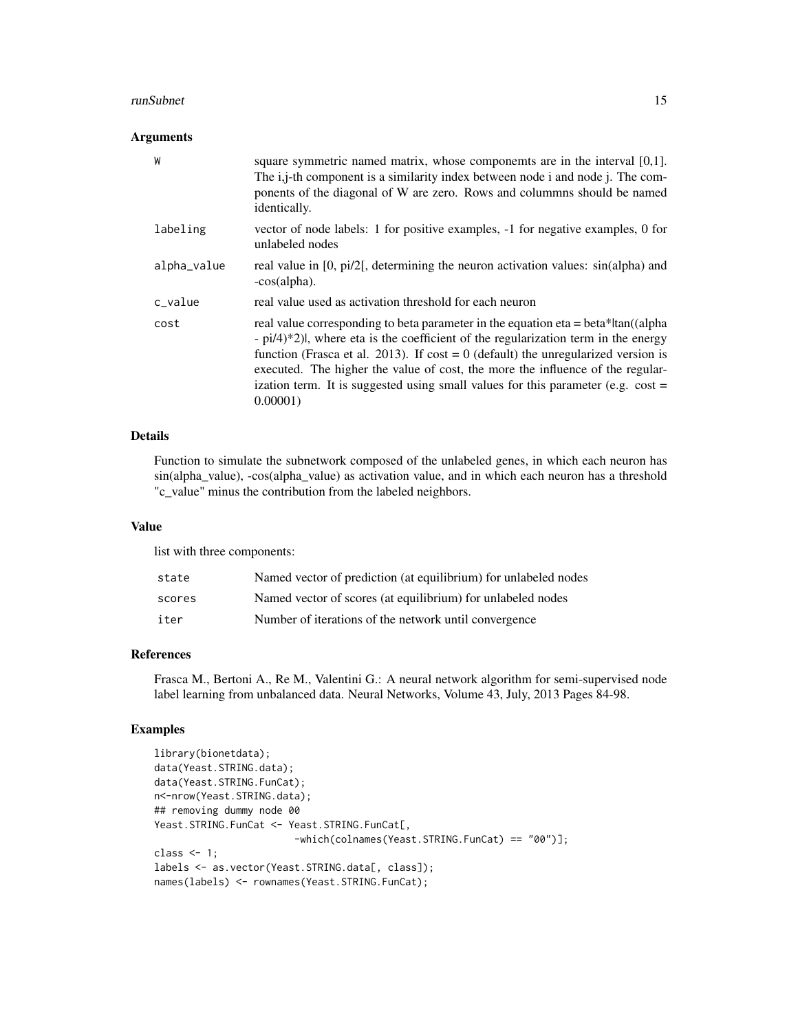#### runSubnet 15

#### Arguments

| W           | square symmetric named matrix, whose components are in the interval $[0,1]$ .<br>The <i>i</i> , <i>j</i> -th component is a similarity index between node <i>i</i> and node <i>j</i> . The com-<br>ponents of the diagonal of W are zero. Rows and columnns should be named<br>identically.                                                                                                                                                                       |
|-------------|-------------------------------------------------------------------------------------------------------------------------------------------------------------------------------------------------------------------------------------------------------------------------------------------------------------------------------------------------------------------------------------------------------------------------------------------------------------------|
| labeling    | vector of node labels: 1 for positive examples, $-1$ for negative examples, 0 for<br>unlabeled nodes                                                                                                                                                                                                                                                                                                                                                              |
| alpha_value | real value in [0, pi/2], determining the neuron activation values: sin(alpha) and<br>-cos(alpha).                                                                                                                                                                                                                                                                                                                                                                 |
| c_value     | real value used as activation threshold for each neuron                                                                                                                                                                                                                                                                                                                                                                                                           |
| cost        | real value corresponding to beta parameter in the equation eta = beta* tan((alpha<br>$-pi/4$ ) <sup>*</sup> 2), where eta is the coefficient of the regularization term in the energy<br>function (Frasca et al. 2013). If cost = 0 (default) the unregularized version is<br>executed. The higher the value of cost, the more the influence of the regular-<br>ization term. It is suggested using small values for this parameter (e.g. $cost =$<br>$0.00001$ ) |

#### Details

Function to simulate the subnetwork composed of the unlabeled genes, in which each neuron has sin(alpha\_value), -cos(alpha\_value) as activation value, and in which each neuron has a threshold "c\_value" minus the contribution from the labeled neighbors.

#### Value

list with three components:

| state  | Named vector of prediction (at equilibrium) for unlabeled nodes |
|--------|-----------------------------------------------------------------|
| scores | Named vector of scores (at equilibrium) for unlabeled nodes     |
| iter   | Number of iterations of the network until convergence           |

#### References

Frasca M., Bertoni A., Re M., Valentini G.: A neural network algorithm for semi-supervised node label learning from unbalanced data. Neural Networks, Volume 43, July, 2013 Pages 84-98.

#### Examples

```
library(bionetdata);
data(Yeast.STRING.data);
data(Yeast.STRING.FunCat);
n<-nrow(Yeast.STRING.data);
## removing dummy node 00
Yeast.STRING.FunCat <- Yeast.STRING.FunCat[,
                        -which(colnames(Yeast.STRING.FunCat) == "00")];
class <-1;labels <- as.vector(Yeast.STRING.data[, class]);
names(labels) <- rownames(Yeast.STRING.FunCat);
```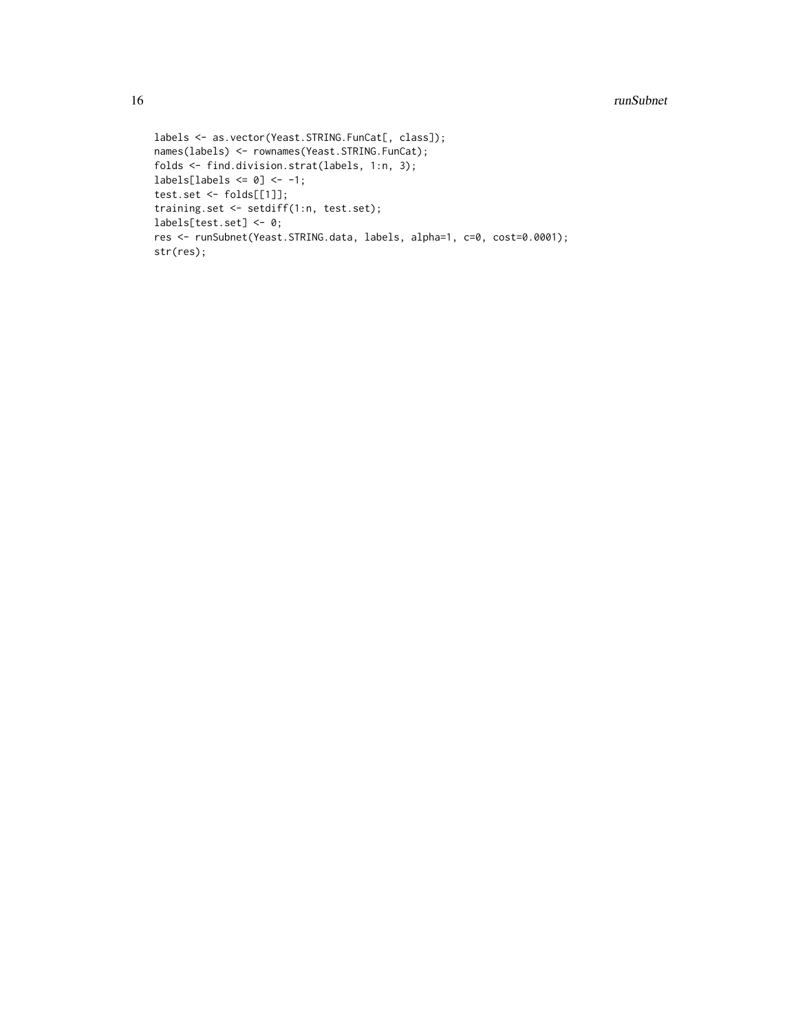```
labels <- as.vector(Yeast.STRING.FunCat[, class]);
names(labels) <- rownames(Yeast.STRING.FunCat);
folds <- find.division.strat(labels, 1:n, 3);
labels[labels \leq 0] \leq -1;
test.set <- folds[[1]];
training.set <- setdiff(1:n, test.set);
labels[test.set] <- 0;
res <- runSubnet(Yeast.STRING.data, labels, alpha=1, c=0, cost=0.0001);
str(res);
```